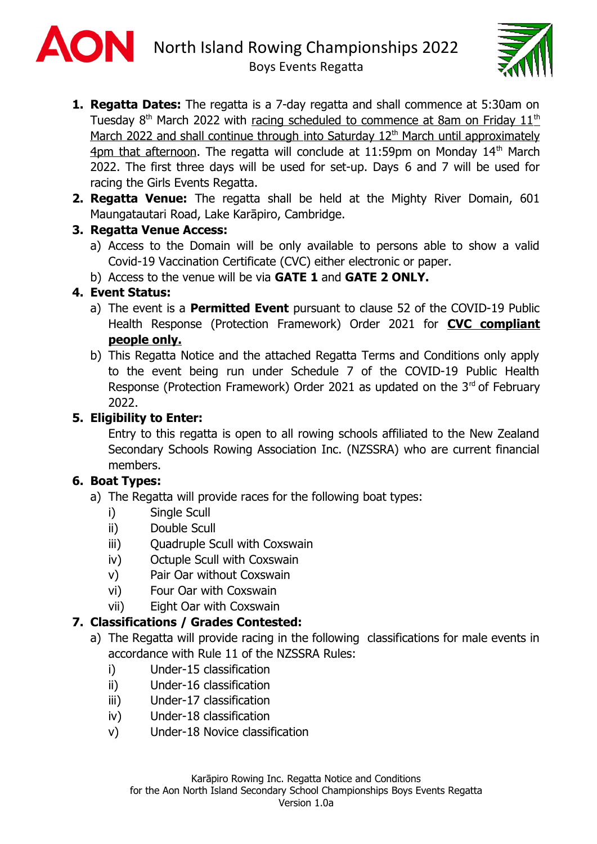



- **1. Regatta Dates:** The regatta is a 7-day regatta and shall commence at 5:30am on Tuesday 8<sup>th</sup> March 2022 with racing scheduled to commence at 8am on Friday 11<sup>th</sup> March 2022 and shall continue through into Saturday 12<sup>th</sup> March until approximately 4pm that afternoon. The regatta will conclude at 11:59pm on Monday  $14<sup>th</sup>$  March 2022. The first three days will be used for set-up. Days 6 and 7 will be used for racing the Girls Events Regatta.
- **2. Regatta Venue:** The regatta shall be held at the Mighty River Domain, 601 Maungatautari Road, Lake Karāpiro, Cambridge.

#### **3. Regatta Venue Access:**

- a) Access to the Domain will be only available to persons able to show a valid Covid-19 Vaccination Certificate (CVC) either electronic or paper.
- b) Access to the venue will be via **GATE 1** and **GATE 2 ONLY.**

## **4. Event Status:**

- a) The event is a **Permitted Event** pursuant to clause 52 of the COVID-19 Public Health Response (Protection Framework) Order 2021 for **CVC compliant people only.**
- b) This Regatta Notice and the attached Regatta Terms and Conditions only apply to the event being run under Schedule 7 of the COVID-19 Public Health Response (Protection Framework) Order 2021 as updated on the  $3<sup>rd</sup>$  of February 2022.

## **5. Eligibility to Enter:**

Entry to this regatta is open to all rowing schools affiliated to the New Zealand Secondary Schools Rowing Association Inc. (NZSSRA) who are current financial members.

## **6. Boat Types:**

- a) The Regatta will provide races for the following boat types:
	- i) Single Scull
	- ii) Double Scull
	- iii) Quadruple Scull with Coxswain
	- iv) Octuple Scull with Coxswain
	- v) Pair Oar without Coxswain
	- vi) Four Oar with Coxswain
	- vii) Eight Oar with Coxswain

## **7. Classifications / Grades Contested:**

- a) The Regatta will provide racing in the following classifications for male events in accordance with Rule 11 of the NZSSRA Rules:
	- i) Under-15 classification
	- ii) Under-16 classification
	- iii) Under-17 classification
	- iv) Under-18 classification
	- v) Under-18 Novice classification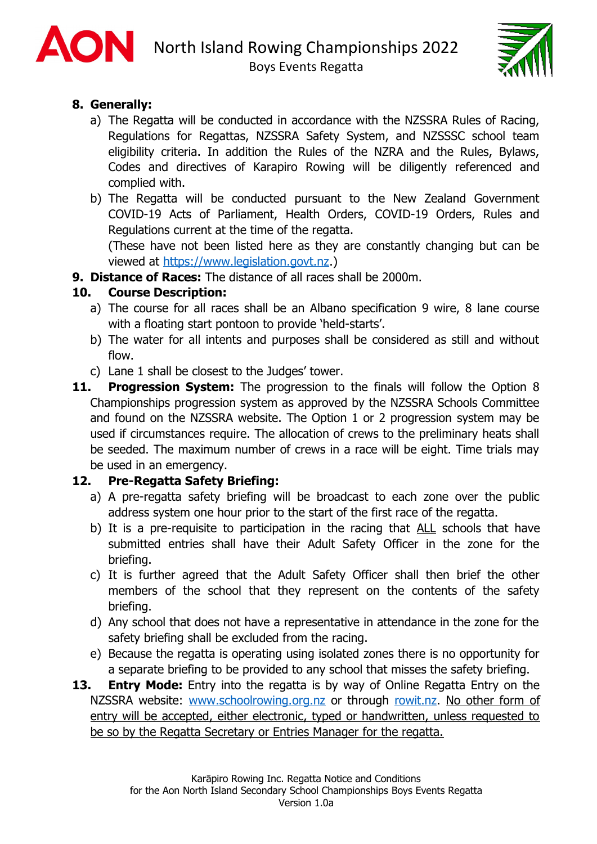



## **8. Generally:**

- a) The Regatta will be conducted in accordance with the NZSSRA Rules of Racing, Regulations for Regattas, NZSSRA Safety System, and NZSSSC school team eligibility criteria. In addition the Rules of the NZRA and the Rules, Bylaws, Codes and directives of Karapiro Rowing will be diligently referenced and complied with.
- b) The Regatta will be conducted pursuant to the New Zealand Government COVID-19 Acts of Parliament, Health Orders, COVID-19 Orders, Rules and Regulations current at the time of the regatta.

(These have not been listed here as they are constantly changing but can be viewed at https://www.legislation.govt.nz.)

**9. Distance of Races:** The distance of all races shall be 2000m.

## **10. Course Description:**

- a) The course for all races shall be an Albano specification 9 wire, 8 lane course with a floating start pontoon to provide 'held-starts'.
- b) The water for all intents and purposes shall be considered as still and without flow.
- c) Lane 1 shall be closest to the Judges' tower.
- **11. Progression System:** The progression to the finals will follow the Option 8 Championships progression system as approved by the NZSSRA Schools Committee and [found on the NZSS](http://www.schoolrowing.org.nz/)RA websi[te. The](https://rowit.nz/) Option 1 or 2 progression system may be used if circumstances require. The allocation of crews to the preliminary heats shall be seeded. The maximum number of crews in a race will be eight. Time trials may be used in an emergency.

## **12. Pre-Regatta Safety Briefing:**

- a) A pre-regatta safety briefing will be broadcast to each zone over the public address system one hour prior to the start of the first race of the regatta.
- b) It is a pre-requisite to participation in the racing that ALL schools that have submitted entries shall have their Adult Safety Officer in the zone for the briefing.
- c) It is further agreed that the Adult Safety Officer shall then brief the other members of the school that they represent on the contents of the safety briefing.
- d) Any school that does not have a representative in attendance in the zone for the safety briefing shall be excluded from the racing.
- e) Because the regatta is operating using isolated zones there is no opportunity for a separate briefing to be provided to any school that misses the safety briefing.
- **13. Entry Mode:** Entry into the regatta is by way of Online Regatta Entry on the NZSSRA website: www.schoolrowing.org.nz or through rowit.nz. No other form of entry will be accepted, either electronic, typed or handwritten, unless requested to be so by the Regatta Secretary or Entries Manager for the regatta.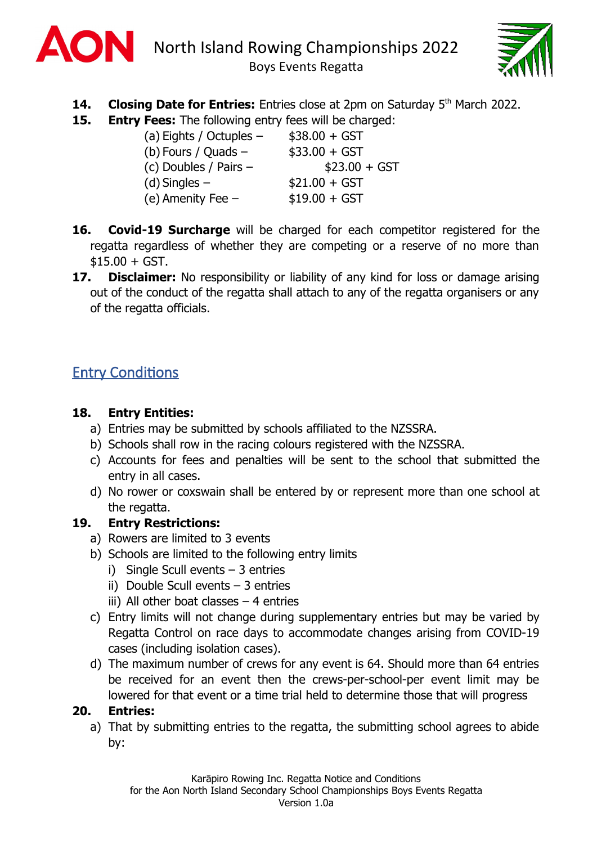



- **14. Closing Date for Entries:** Entries close at 2pm on Saturday 5<sup>th</sup> March 2022.
- **15. Entry Fees:** The following entry fees will be charged:

| (a) Eights / Octuples $-$ | $$38.00 + GST$ |
|---------------------------|----------------|
| (b) Fours / Quads $-$     | $$33.00 + GST$ |
| (c) Doubles / Pairs -     | $$23.00 + GST$ |
| $(d)$ Singles $-$         | $$21.00 + GST$ |
| (e) Amenity Fee $-$       | $$19.00 + GST$ |

- **16. Covid-19 Surcharge** will be charged for each competitor registered for the regatta regardless of whether they are competing or a reserve of no more than  $$15.00 + GST.$
- **17. Disclaimer:** No responsibility or liability of any kind for loss or damage arising out of the conduct of the regatta shall attach to any of the regatta organisers or any of the regatta officials.

# **Entry Conditions**

### **18. Entry Entities:**

- a) Entries may be submitted by schools affiliated to the NZSSRA.
- b) Schools shall row in the racing colours registered with the NZSSRA.
- c) Accounts for fees and penalties will be sent to the school that submitted the entry in all cases.
- d) No rower or coxswain shall be entered by or represent more than one school at the regatta.

## **19. Entry Restrictions:**

- a) Rowers are limited to 3 events
- b) Schools are limited to the following entry limits
	- i) Single Scull events 3 entries
	- ii) Double Scull events  $-3$  entries
	- iii) All other boat classes  $-4$  entries
- c) Entry limits will not change during supplementary entries but may be varied by Regatta Control on race days to accommodate changes arising from COVID-19 cases (including isolation cases).
- d) The maximum number of crews for any event is 64. Should more than 64 entries be received for an event then the crews-per-school-per event limit may be lowered for that event or a time trial held to determine those that will progress

## **20. Entries:**

a) That by submitting entries to the regatta, the submitting school agrees to abide by: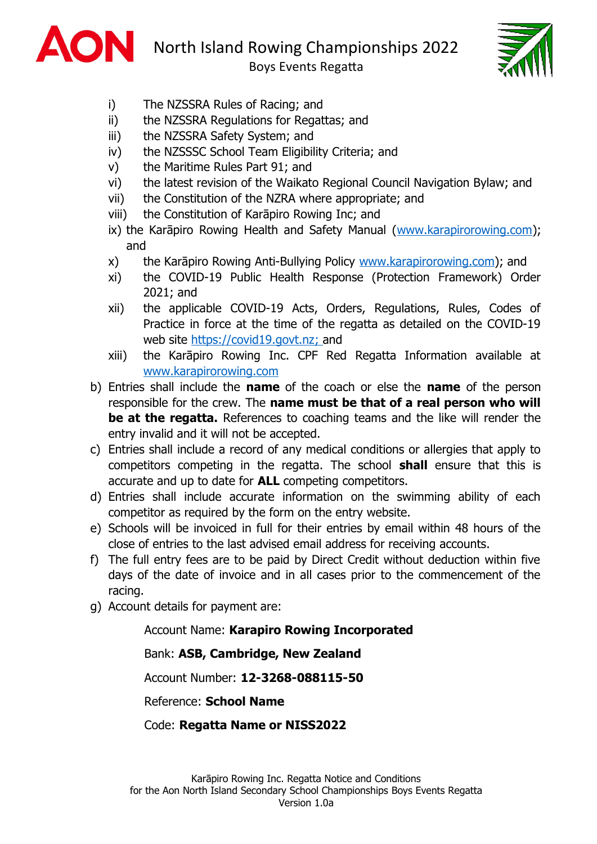

North Island Rowing Championships 2022

Boys Events Regatta



- i) The NZSSRA Rules of Racing; and
- ii) the NZSSRA Regulations for Regattas; and
- iii) the NZSSRA Safety System; and
- iv) the NZSSSC School Team Eligibility Criteria; and
- v) the Maritime Rules Part 91; and
- vi) the latest revision of the Waikato Regional Council Navigation Bylaw; and
- vii) the Constitution of the NZRA where appropriate; and
- viii) the Constitution of Karāpiro Rowing Inc; and
- ix) the Karāpiro Rowing Health and Safety Manual (www.karapirorowing.com); and
- x) the Karāpiro Rowing Anti-Bullying Policy www.karapirorowing.com); and
- xi) the COVID-19 Public Health Response (Protection Framework) Order 2021; and
- xii) the applicable COVID-19 Acts, Orders, Regulations, Rules, Codes of Practice in force at the time of the regatta as detailed on the COVID-19 web site https://covid19.govt.nz; and
- xiii) the Karāpiro Rowing Inc. CPF Red Regatta Information available at www.karapirorowing.com
- b) Entries shall include the **name** of the coach or else the **name** of the person responsible for the crew. The **name must be that of a real person who will be at the regatta.** References to coaching teams and the like will render the entry invalid and it will not be accepted.
- c) Entries shall include a record of any medical conditions or allergies that apply to competitors competing in the regatta. The school **shall** ensure that this is accurate and up to date for **ALL** competing competitors.
- d) Entries shall include accurate information on the swimming ability of each competitor as required by the form on the entry website.
- e) Schools will be invoiced in full for their entries by email within 48 hours of the close of entries to the last advised email address for receiving accounts.
- f) The full entry fees are to be paid by Direct Credit without deduction within five days of the date of invoice and in all cases prior to the commencement of the racing.
- g) Account details for payment are:

#### Account Name: **Karapiro Rowing Incorporated**

Bank: **ASB, Cambridge, New Zealand**

Account Number: **12-3268-088115-50**

Reference: **School Name**

Code: **Regatta Name or NISS2022**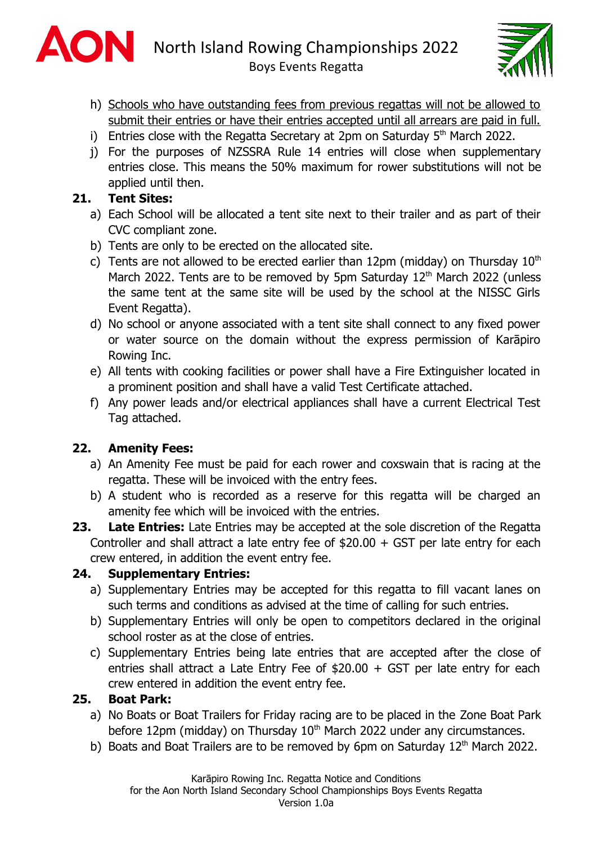



- h) Schools who have outstanding fees from previous regattas will not be allowed to submit their entries or have their entries accepted until all arrears are paid in full.
- i) Entries close with the Regatta Secretary at  $2$ pm on Saturday  $5<sup>th</sup>$  March 2022.
- j) For the purposes of NZSSRA Rule 14 entries will close when supplementary entries close. This means the 50% maximum for rower substitutions will not be applied until then.

## **21. Tent Sites:**

- a) Each School will be allocated a tent site next to their trailer and as part of their CVC compliant zone.
- b) Tents are only to be erected on the allocated site.
- c) Tents are not allowed to be erected earlier than 12pm (midday) on Thursday  $10<sup>th</sup>$ March 2022. Tents are to be removed by 5pm Saturday  $12<sup>th</sup>$  March 2022 (unless the same tent at the same site will be used by the school at the NISSC Girls Event Regatta).
- d) No school or anyone associated with a tent site shall connect to any fixed power or water source on the domain without the express permission of Karāpiro Rowing Inc.
- e) All tents with cooking facilities or power shall have a Fire Extinguisher located in a prominent position and shall have a valid Test Certificate attached.
- f) Any power leads and/or electrical appliances shall have a current Electrical Test Tag attached.

## **22. Amenity Fees:**

- a) An Amenity Fee must be paid for each rower and coxswain that is racing at the regatta. These will be invoiced with the entry fees.
- b) A student who is recorded as a reserve for this regatta will be charged an amenity fee which will be invoiced with the entries.
- **23. Late Entries:** Late Entries may be accepted at the sole discretion of the Regatta Controller and shall attract a late entry fee of \$20.00 + GST per late entry for each crew entered, in addition the event entry fee.

## **24. Supplementary Entries:**

- a) Supplementary Entries may be accepted for this regatta to fill vacant lanes on such terms and conditions as advised at the time of calling for such entries.
- b) Supplementary Entries will only be open to competitors declared in the original school roster as at the close of entries.
- c) Supplementary Entries being late entries that are accepted after the close of entries shall attract a Late Entry Fee of \$20.00 + GST per late entry for each crew entered in addition the event entry fee.

#### **25. Boat Park:**

- a) No Boats or Boat Trailers for Friday racing are to be placed in the Zone Boat Park before 12pm (midday) on Thursday  $10<sup>th</sup>$  March 2022 under any circumstances.
- b) Boats and Boat Trailers are to be removed by 6pm on Saturday  $12<sup>th</sup>$  March 2022.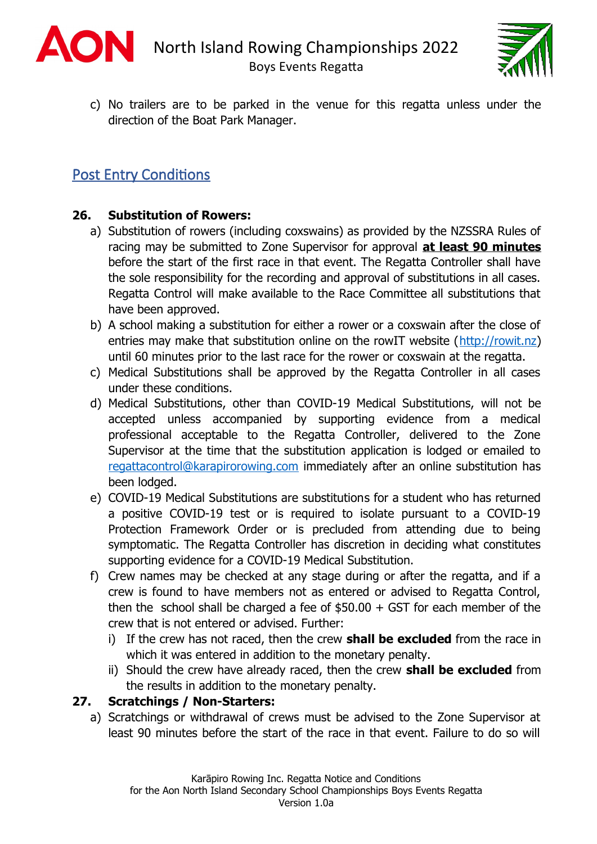



c) No trailers are to be parked in the venue for this regatta unless under the direction of the Boat Park Manager.

# Post Entry Conditions

#### **26. Substitution of Rowers:**

- a) Substitution of rowers (including coxswains) as provided by the NZSSRA Rules of racing may be submitted to Zone Supervisor for approval **at least 90 minutes** before the start of the first race in that event. The Regatta Controller shall have the sole responsibility for the recording and approval of substitutions in all cases. Regatta Control will make available to the Race Committee all substitutions that have been approved.
- b) A school making a substitution for either a rower or a coxswain after the close of entries may make that substitution online on the rowIT website (http://rowit.nz) until 60 minutes prior to the last race for the rower or coxswain at the regatta.
- c) Medical Substitutions shall be approved by the Regatta Controller in all cases under these conditions.
- d) Medical Substitutions, other than COVID-19 Medical Substitutions, will not be accepted unless accompanied by supporting evidence from a medical professional acceptable to the Regatta Controller, delivered to the Zone Supervisor at the time that the substitution application is lodged or emailed to regattacontrol@karapirorowing.com immediately after an online substitution has been lodged.
- e) COVID-19 Medical Substitutions are substitutions for a student who has returned a positive COVID-19 test or is required to isolate pursuant to a COVID-19 Protection Framework Order or is precluded from attending due to being symptomatic. The Regatta Controller has discretion in deciding what constitutes supporting evidence for a COVID-19 Medical Substitution.
- f) Crew names may be checked at any stage during or after the regatta, and if a crew is found to have members not as entered or advised to Regatta Control, then the school shall be charged a fee of  $$50.00 + GST$  for each member of the crew that is not entered or advised. Further:
	- i) If the crew has not raced, then the crew **shall be excluded** from the race in which it was entered in addition to the monetary penalty.
	- ii) Should the crew have already raced, then the crew **shall be excluded** from the results in addition to the monetary penalty.

#### **27. Scratchings / Non-Starters:**

a) Scratchings or withdrawal of crews must be advised to the Zone Supervisor at least 90 minutes before the start of the race in that event. Failure to do so will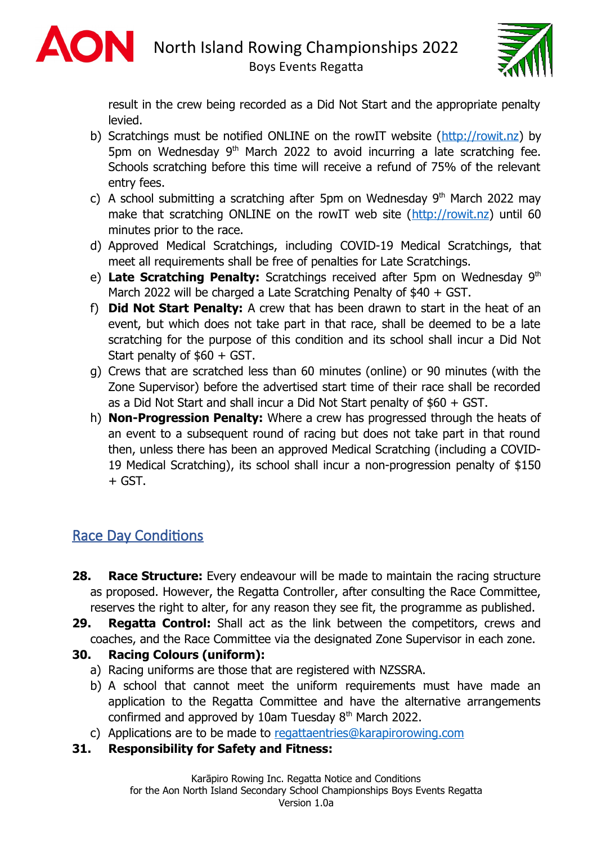



result in the crew being recorded as a Did Not Start and the appropriate penalty levied.

- b) Scratchings must be notified ONLINE on the rowIT website (http://rowit.nz) by 5pm on Wednesday 9<sup>th</sup> March 2022 to avoid incurring a late scratching fee. Schools scratching before this time will receive a refund of 75% of the relevant entry fees.
- c) A school submitting a scratching after 5pm on Wednesday 9<sup>th</sup> March 2022 may make that scratching ONLINE on the rowIT web site (http://rowit.nz) until 60 minutes prior to the race.
- d) Approved Medical Scratchings, including COVID-19 Medical Scratchings, that meet all requirements shall be free of penalties for Late Scratchings.
- e) Late Scratching Penalty: Scratchings received after 5pm on Wednesday 9<sup>th</sup> March 2022 will be charged a Late Scratching Penalty of \$40 + GST.
- f) **Did Not Start Penalty:** A crew that has been drawn to start in the heat of an event, but which does not take part in that race, shall be deemed to be a late scratching for the purpose of this condition and its school shall incur a Did Not Start penalty of \$60 + GST.
- g) Crews that are scratched less than 60 minutes (online) or 90 minutes (with the Zone Supervisor) before the advertised start time of their race shall be recorded as a Did Not Start and shall incur a Did Not Start penalty of \$60 + GST.
- h) **Non-Progression Penalty:** Where a crew has progressed through the heats of an event to a subsequent round of racing but does not take part in that round then, unless there has been an approved Medical Scratching (including a COVID-19 Medical Scratching), its school shall incur a non-progression penalty of \$150  $+$  GST.

# Race Day Conditions

- **28. Race Structure:** Every endeavour will be made to maintain the racing structure as proposed. However, the Regatta Controller, after consulting the Race Committee, reserves the right to alter, for any reason they see fit, the programme as published.
- **29. Regatta Control:** Shall act as the link between the competitors, crews and coaches, and the Race Committee via the designated Zone Supervisor in each zone.

## **30. Racing Colours (uniform):**

- a) Racing uniforms are those that are registered with NZSSRA.
- b) A school that cannot meet the uniform requirements must have made an application to the Regatta Committee and have the alternative arrangements confirmed and approved by 10am Tuesday  $8<sup>th</sup>$  March 2022.
- c) Applications are to be made to regattaentries@karapirorowing.com
- **31. Responsibility for Safety and Fitness:**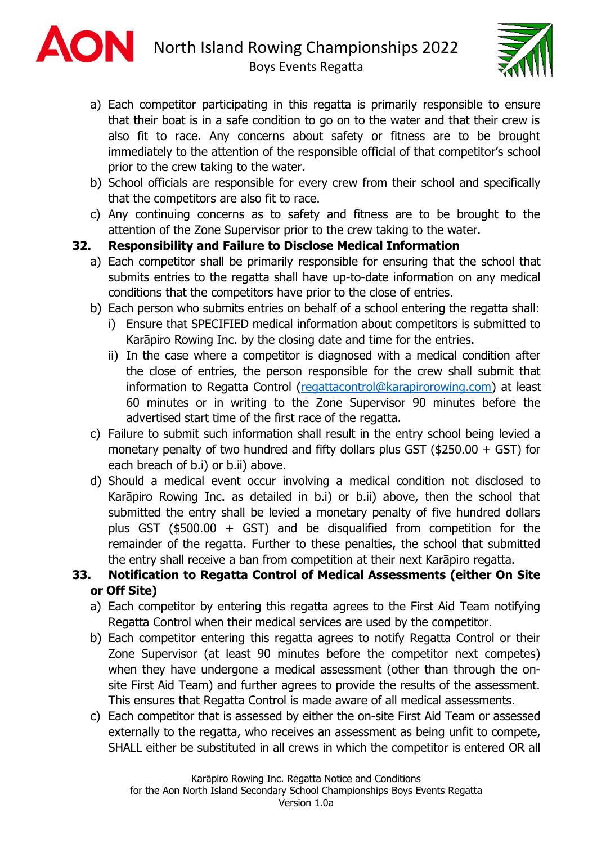



- a) Each competitor participating in this regatta is primarily responsible to ensure that their boat is in a safe condition to go on to the water and that their crew is also fit to race. Any concerns about safety or fitness are to be brought immediately to the attention of the responsible official of that competitor's school prior to the crew taking to the water.
- b) School officials are responsible for every crew from their school and specifically that the competitors are also fit to race.
- c) Any continuing concerns as to safety and fitness are to be brought to the attention of the Zone Supervisor prior to the crew taking to the water.

### **32. Responsibility and Failure to Disclose Medical Information**

- a) Each competitor shall be primarily responsible for ensuring that the school that submits entries to the regatta shall have up-to-date information on any medical conditions that the competitors have prior to the close of entries.
- b) Each person who submits entries on behalf of a school entering the regatta shall:
	- i) Ensure that SPECIFIED medical information about competitors is submitted to Karāpiro Rowing Inc. by the closing date and time for the entries.
	- ii) In the case where a competitor is diagnosed with a medical condition after the close of entries, the person responsible for the crew shall submit that information to Regatta Control (regattacontrol@karapirorowing.com) at least 60 minutes or in writing to the Zone Supervisor 90 minutes before the advertised start time of the first race of the regatta.
- c) Failure to submit such information shall result in the entry school being levied a monetary penalty of two hundred and fifty dollars plus GST (\$250.00  $+$  GST) for each breach of b.i) or b.ii) above.
- d) Should a medical event occur involving a medical condition not disclosed to Karāpiro Rowing Inc. as detailed in b.i) or b.ii) above, then the school that submitted the entry shall be levied a monetary penalty of five hundred dollars plus GST ( $$500.00 + GST$ ) and be disqualified from competition for the remainder of the regatta. Further to these penalties, the school that submitted the entry shall receive a ban from competition at their next Karāpiro regatta.

## **33. Notification to Regatta Control of Medical Assessments (either On Site or Off Site)**

- a) Each competitor by entering this regatta agrees to the First Aid Team notifying Regatta Control when their medical services are used by the competitor.
- b) Each competitor entering this regatta agrees to notify Regatta Control or their Zone Supervisor (at least 90 minutes before the competitor next competes) when they have undergone a medical assessment (other than through the onsite First Aid Team) and further agrees to provide the results of the assessment. This ensures that Regatta Control is made aware of all medical assessments.
- c) Each competitor that is assessed by either the on-site First Aid Team or assessed externally to the regatta, who receives an assessment as being unfit to compete, SHALL either be substituted in all crews in which the competitor is entered OR all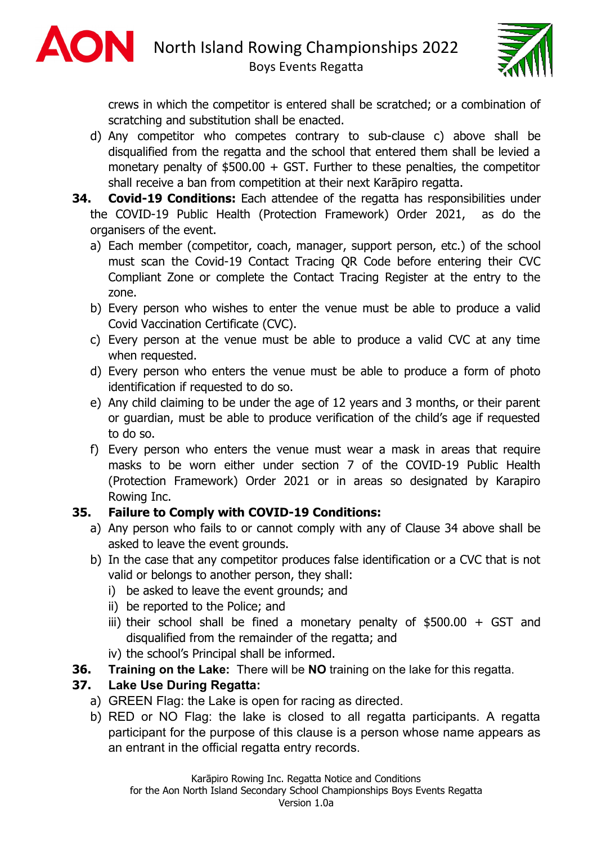



crews in which the competitor is entered shall be scratched; or a combination of scratching and substitution shall be enacted.

- d) Any competitor who competes contrary to sub-clause c) above shall be disqualified from the regatta and the school that entered them shall be levied a monetary penalty of  $$500.00 + GST$ . Further to these penalties, the competitor shall receive a ban from competition at their next Karāpiro regatta.
- **34. Covid-19 Conditions:** Each attendee of the regatta has responsibilities under the COVID-19 Public Health (Protection Framework) Order 2021, as do the organisers of the event.
	- a) Each member (competitor, coach, manager, support person, etc.) of the school must scan the Covid-19 Contact Tracing QR Code before entering their CVC Compliant Zone or complete the Contact Tracing Register at the entry to the zone.
	- b) Every person who wishes to enter the venue must be able to produce a valid Covid Vaccination Certificate (CVC).
	- c) Every person at the venue must be able to produce a valid CVC at any time when requested.
	- d) Every person who enters the venue must be able to produce a form of photo identification if requested to do so.
	- e) Any child claiming to be under the age of 12 years and 3 months, or their parent or guardian, must be able to produce verification of the child's age if requested to do so.
	- f) Every person who enters the venue must wear a mask in areas that require masks to be worn either under section 7 of the COVID-19 Public Health (Protection Framework) Order 2021 or in areas so designated by Karapiro Rowing Inc.

## **35. Failure to Comply with COVID-19 Conditions:**

- a) Any person who fails to or cannot comply with any of Clause 34 above shall be asked to leave the event grounds.
- b) In the case that any competitor produces false identification or a CVC that is not valid or belongs to another person, they shall:
	- i) be asked to leave the event grounds; and
	- ii) be reported to the Police; and
	- iii) their school shall be fined a monetary penalty of  $$500.00 + GST$  and disqualified from the remainder of the regatta; and
	- iv) the school's Principal shall be informed.
- **36. Training on the Lake:** There will be **NO** training on the lake for this regatta.

## **37. Lake Use During Regatta:**

- a) GREEN Flag: the Lake is open for racing as directed.
- b) RED or NO Flag: the lake is closed to all regatta participants. A regatta participant for the purpose of this clause is a person whose name appears as an entrant in the official regatta entry records.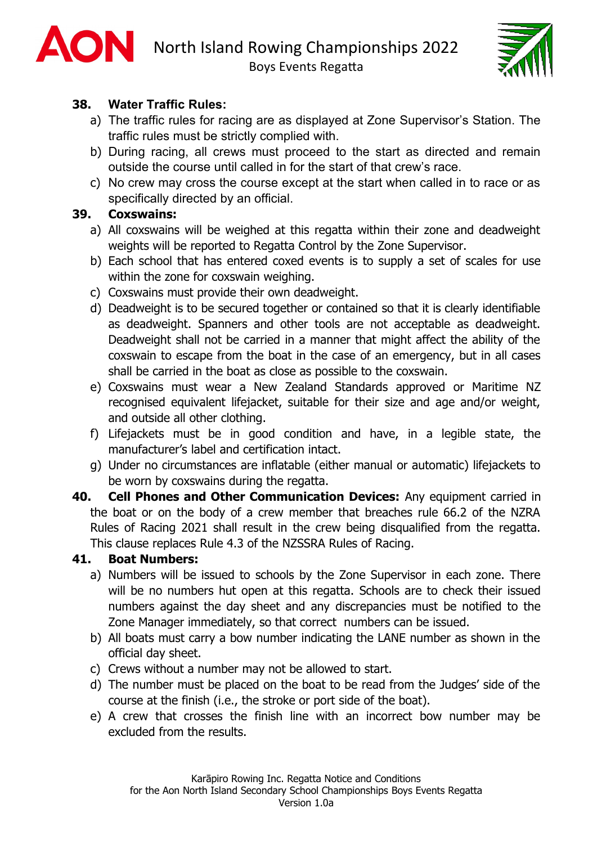



## **38. Water Traffic Rules:**

- a) The traffic rules for racing are as displayed at Zone Supervisor's Station. The traffic rules must be strictly complied with.
- b) During racing, all crews must proceed to the start as directed and remain outside the course until called in for the start of that crew's race.
- c) No crew may cross the course except at the start when called in to race or as specifically directed by an official.

### **39. Coxswains:**

- a) All coxswains will be weighed at this regatta within their zone and deadweight weights will be reported to Regatta Control by the Zone Supervisor.
- b) Each school that has entered coxed events is to supply a set of scales for use within the zone for coxswain weighing.
- c) Coxswains must provide their own deadweight.
- d) Deadweight is to be secured together or contained so that it is clearly identifiable as deadweight. Spanners and other tools are not acceptable as deadweight. Deadweight shall not be carried in a manner that might affect the ability of the coxswain to escape from the boat in the case of an emergency, but in all cases shall be carried in the boat as close as possible to the coxswain.
- e) Coxswains must wear a New Zealand Standards approved or Maritime NZ recognised equivalent lifejacket, suitable for their size and age and/or weight, and outside all other clothing.
- f) Lifejackets must be in good condition and have, in a legible state, the manufacturer's label and certification intact.
- g) Under no circumstances are inflatable (either manual or automatic) lifejackets to be worn by coxswains during the regatta.
- **40. Cell Phones and Other Communication Devices:** Any equipment carried in the boat or on the body of a crew member that breaches rule 66.2 of the NZRA Rules of Racing 2021 shall result in the crew being disqualified from the regatta. This clause replaces Rule 4.3 of the NZSSRA Rules of Racing.

#### **41. Boat Numbers:**

- a) Numbers will be issued to schools by the Zone Supervisor in each zone. There will be no numbers hut open at this regatta. Schools are to check their issued numbers against the day sheet and any discrepancies must be notified to the Zone Manager immediately, so that correct numbers can be issued.
- b) All boats must carry a bow number indicating the LANE number as shown in the official day sheet.
- c) Crews without a number may not be allowed to start.
- d) The number must be placed on the boat to be read from the Judges' side of the course at the finish (i.e., the stroke or port side of the boat).
- e) A crew that crosses the finish line with an incorrect bow number may be excluded from the results.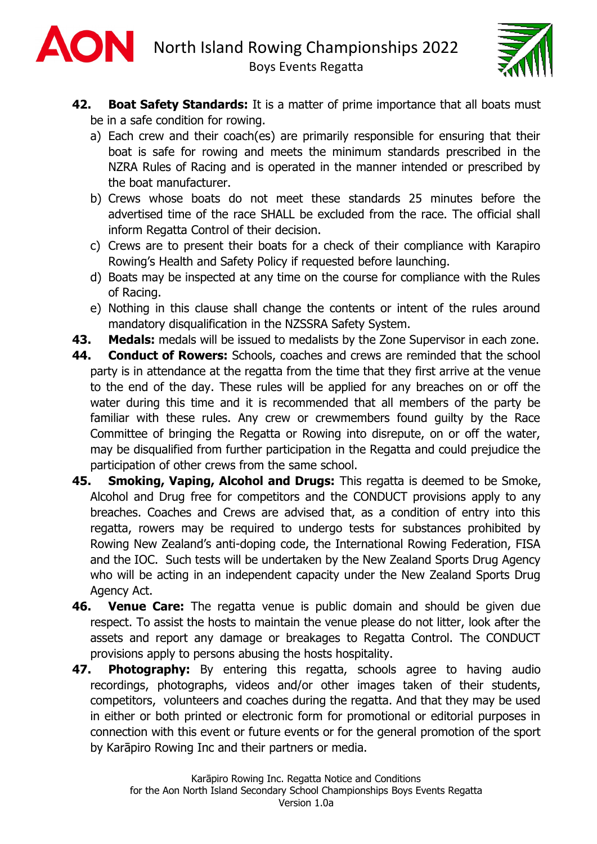



- **42. Boat Safety Standards:** It is a matter of prime importance that all boats must be in a safe condition for rowing.
	- a) Each crew and their coach(es) are primarily responsible for ensuring that their boat is safe for rowing and meets the minimum standards prescribed in the NZRA Rules of Racing and is operated in the manner intended or prescribed by the boat manufacturer.
	- b) Crews whose boats do not meet these standards 25 minutes before the advertised time of the race SHALL be excluded from the race. The official shall inform Regatta Control of their decision.
	- c) Crews are to present their boats for a check of their compliance with Karapiro Rowing's Health and Safety Policy if requested before launching.
	- d) Boats may be inspected at any time on the course for compliance with the Rules of Racing.
	- e) Nothing in this clause shall change the contents or intent of the rules around mandatory disqualification in the NZSSRA Safety System.
- **43. Medals:** medals will be issued to medalists by the Zone Supervisor in each zone.
- **44. Conduct of Rowers:** Schools, coaches and crews are reminded that the school party is in attendance at the regatta from the time that they first arrive at the venue to the end of the day. These rules will be applied for any breaches on or off the water during this time and it is recommended that all members of the party be familiar with these rules. Any crew or crewmembers found guilty by the Race Committee of bringing the Regatta or Rowing into disrepute, on or off the water, may be disqualified from further participation in the Regatta and could prejudice the participation of other crews from the same school.
- **45. Smoking, Vaping, Alcohol and Drugs:** This regatta is deemed to be Smoke, Alcohol and Drug free for competitors and the CONDUCT provisions apply to any breaches. Coaches and Crews are advised that, as a condition of entry into this regatta, rowers may be required to undergo tests for substances prohibited by Rowing New Zealand's anti-doping code, the International Rowing Federation, FISA and the IOC. Such tests will be undertaken by the New Zealand Sports Drug Agency who will be acting in an independent capacity under the New Zealand Sports Drug Agency Act.
- **46. Venue Care:** The regatta venue is public domain and should be given due respect. To assist the hosts to maintain the venue please do not litter, look after the assets and report any damage or breakages to Regatta Control. The CONDUCT provisions apply to persons abusing the hosts hospitality.
- **47. Photography:** By entering this regatta, schools agree to having audio recordings, photographs, videos and/or other images taken of their students, competitors, volunteers and coaches during the regatta. And that they may be used in either or both printed or electronic form for promotional or editorial purposes in connection with this event or future events or for the general promotion of the sport by Karāpiro Rowing Inc and their partners or media.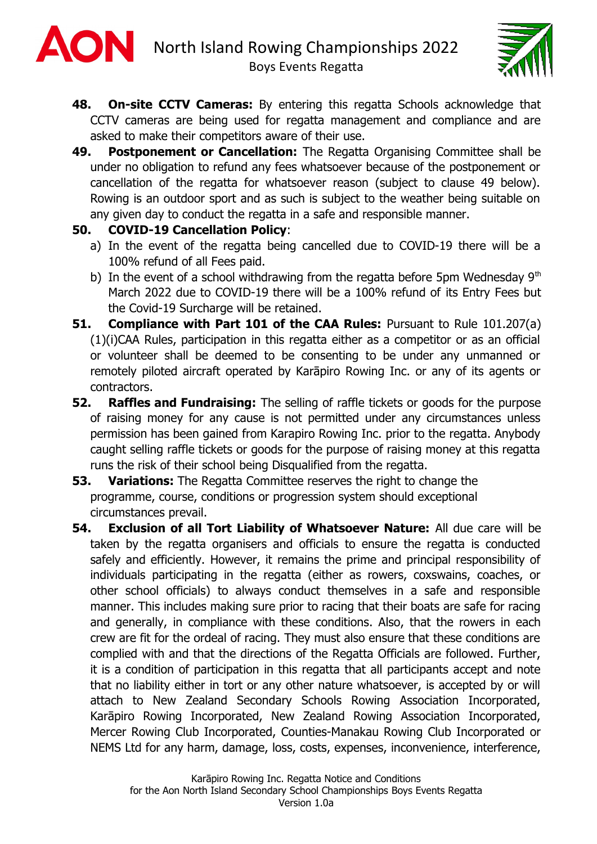



- **48. On-site CCTV Cameras:** By entering this regatta Schools acknowledge that CCTV cameras are being used for regatta management and compliance and are asked to make their competitors aware of their use.
- **49. Postponement or Cancellation:** The Regatta Organising Committee shall be under no obligation to refund any fees whatsoever because of the postponement or cancellation of the regatta for whatsoever reason (subject to clause 49 below). Rowing is an outdoor sport and as such is subject to the weather being suitable on any given day to conduct the regatta in a safe and responsible manner.

#### **50. COVID-19 Cancellation Policy**:

- a) In the event of the regatta being cancelled due to COVID-19 there will be a 100% refund of all Fees paid.
- b) In the event of a school withdrawing from the regatta before 5pm Wednesday  $9<sup>th</sup>$ March 2022 due to COVID-19 there will be a 100% refund of its Entry Fees but the Covid-19 Surcharge will be retained.
- **51. Compliance with Part 101 of the CAA Rules:** Pursuant to Rule 101.207(a) (1)(i)CAA Rules, participation in this regatta either as a competitor or as an official or volunteer shall be deemed to be consenting to be under any unmanned or remotely piloted aircraft operated by Karāpiro Rowing Inc. or any of its agents or contractors.
- **52. Raffles and Fundraising:** The selling of raffle tickets or goods for the purpose of raising money for any cause is not permitted under any circumstances unless permission has been gained from Karapiro Rowing Inc. prior to the regatta. Anybody caught selling raffle tickets or goods for the purpose of raising money at this regatta runs the risk of their school being Disqualified from the regatta.
- **53. Variations:** The Regatta Committee reserves the right to change the programme, course, conditions or progression system should exceptional circumstances prevail.
- **54. Exclusion of all Tort Liability of Whatsoever Nature:** All due care will be taken by the regatta organisers and officials to ensure the regatta is conducted safely and efficiently. However, it remains the prime and principal responsibility of individuals participating in the regatta (either as rowers, coxswains, coaches, or other school officials) to always conduct themselves in a safe and responsible manner. This includes making sure prior to racing that their boats are safe for racing and generally, in compliance with these conditions. Also, that the rowers in each crew are fit for the ordeal of racing. They must also ensure that these conditions are complied with and that the directions of the Regatta Officials are followed. Further, it is a condition of participation in this regatta that all participants accept and note that no liability either in tort or any other nature whatsoever, is accepted by or will attach to New Zealand Secondary Schools Rowing Association Incorporated, Karāpiro Rowing Incorporated, New Zealand Rowing Association Incorporated, Mercer Rowing Club Incorporated, Counties-Manakau Rowing Club Incorporated or NEMS Ltd for any harm, damage, loss, costs, expenses, inconvenience, interference,